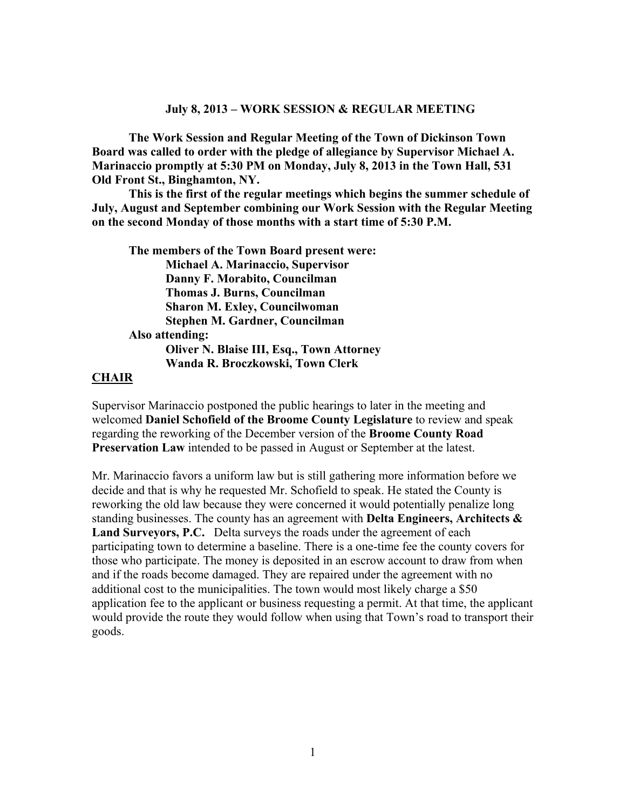#### **July 8, 2013 – WORK SESSION & REGULAR MEETING**

**The Work Session and Regular Meeting of the Town of Dickinson Town Board was called to order with the pledge of allegiance by Supervisor Michael A. Marinaccio promptly at 5:30 PM on Monday, July 8, 2013 in the Town Hall, 531 Old Front St., Binghamton, NY.** 

**This is the first of the regular meetings which begins the summer schedule of July, August and September combining our Work Session with the Regular Meeting on the second Monday of those months with a start time of 5:30 P.M.** 

**The members of the Town Board present were: Michael A. Marinaccio, Supervisor Danny F. Morabito, Councilman Thomas J. Burns, Councilman Sharon M. Exley, Councilwoman Stephen M. Gardner, Councilman Also attending: Oliver N. Blaise III, Esq., Town Attorney Wanda R. Broczkowski, Town Clerk** 

#### **CHAIR**

Supervisor Marinaccio postponed the public hearings to later in the meeting and welcomed **Daniel Schofield of the Broome County Legislature** to review and speak regarding the reworking of the December version of the **Broome County Road Preservation Law** intended to be passed in August or September at the latest.

Mr. Marinaccio favors a uniform law but is still gathering more information before we decide and that is why he requested Mr. Schofield to speak. He stated the County is reworking the old law because they were concerned it would potentially penalize long standing businesses. The county has an agreement with **Delta Engineers, Architects & Land Surveyors, P.C.** Delta surveys the roads under the agreement of each participating town to determine a baseline. There is a one-time fee the county covers for those who participate. The money is deposited in an escrow account to draw from when and if the roads become damaged. They are repaired under the agreement with no additional cost to the municipalities. The town would most likely charge a \$50 application fee to the applicant or business requesting a permit. At that time, the applicant would provide the route they would follow when using that Town's road to transport their goods.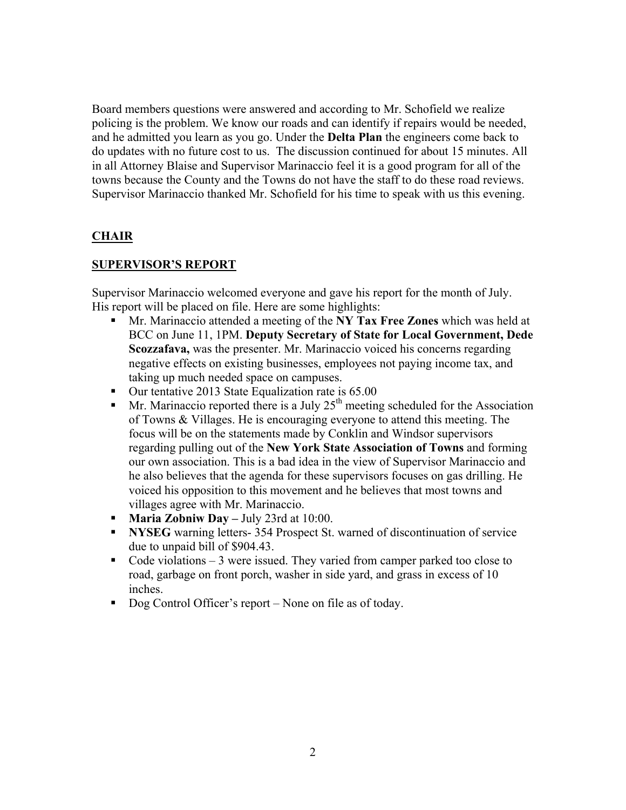Board members questions were answered and according to Mr. Schofield we realize policing is the problem. We know our roads and can identify if repairs would be needed, and he admitted you learn as you go. Under the **Delta Plan** the engineers come back to do updates with no future cost to us. The discussion continued for about 15 minutes. All in all Attorney Blaise and Supervisor Marinaccio feel it is a good program for all of the towns because the County and the Towns do not have the staff to do these road reviews. Supervisor Marinaccio thanked Mr. Schofield for his time to speak with us this evening.

# **CHAIR**

## **SUPERVISOR'S REPORT**

Supervisor Marinaccio welcomed everyone and gave his report for the month of July. His report will be placed on file. Here are some highlights:

- Mr. Marinaccio attended a meeting of the **NY Tax Free Zones** which was held at BCC on June 11, 1PM. **Deputy Secretary of State for Local Government, Dede Scozzafava,** was the presenter. Mr. Marinaccio voiced his concerns regarding negative effects on existing businesses, employees not paying income tax, and taking up much needed space on campuses.
- Our tentative 2013 State Equalization rate is 65.00
- $\blacksquare$  Mr. Marinaccio reported there is a July 25<sup>th</sup> meeting scheduled for the Association of Towns & Villages. He is encouraging everyone to attend this meeting. The focus will be on the statements made by Conklin and Windsor supervisors regarding pulling out of the **New York State Association of Towns** and forming our own association. This is a bad idea in the view of Supervisor Marinaccio and he also believes that the agenda for these supervisors focuses on gas drilling. He voiced his opposition to this movement and he believes that most towns and villages agree with Mr. Marinaccio.
- **Maria Zobniw Day** July 23rd at 10:00.
- **NYSEG** warning letters- 354 Prospect St. warned of discontinuation of service due to unpaid bill of \$904.43.
- Code violations  $-3$  were issued. They varied from camper parked too close to road, garbage on front porch, washer in side yard, and grass in excess of 10 inches.
- Dog Control Officer's report None on file as of today.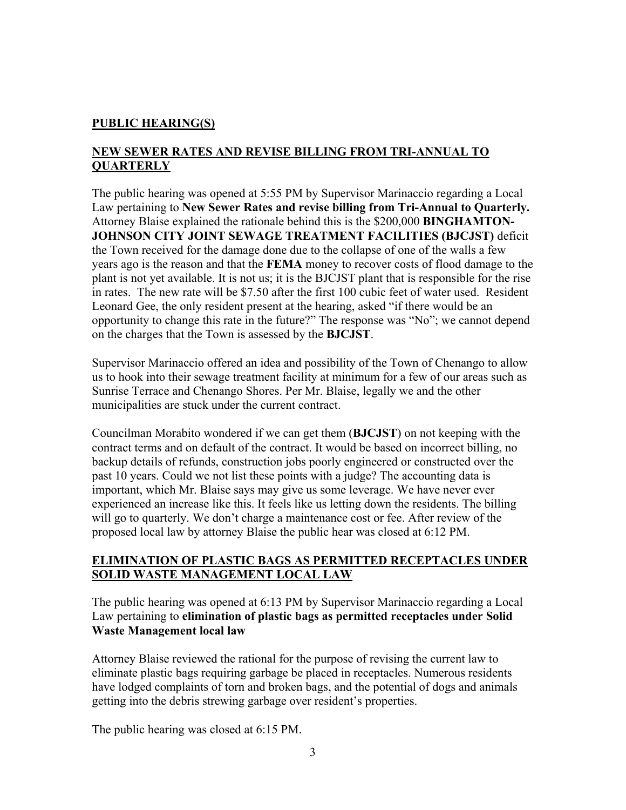## **PUBLIC HEARING(S)**

# **NEW SEWER RATES AND REVISE BILLING FROM TRI-ANNUAL TO QUARTERLY**

The public hearing was opened at 5:55 PM by Supervisor Marinaccio regarding a Local Law pertaining to **New Sewer Rates and revise billing from Tri-Annual to Quarterly.**  Attorney Blaise explained the rationale behind this is the \$200,000 **BINGHAMTON-JOHNSON CITY JOINT SEWAGE TREATMENT FACILITIES (BJCJST)** deficit the Town received for the damage done due to the collapse of one of the walls a few years ago is the reason and that the **FEMA** money to recover costs of flood damage to the plant is not yet available. It is not us; it is the BJCJST plant that is responsible for the rise in rates. The new rate will be \$7.50 after the first 100 cubic feet of water used. Resident Leonard Gee, the only resident present at the hearing, asked "if there would be an opportunity to change this rate in the future?" The response was "No"; we cannot depend on the charges that the Town is assessed by the **BJCJST**.

Supervisor Marinaccio offered an idea and possibility of the Town of Chenango to allow us to hook into their sewage treatment facility at minimum for a few of our areas such as Sunrise Terrace and Chenango Shores. Per Mr. Blaise, legally we and the other municipalities are stuck under the current contract.

Councilman Morabito wondered if we can get them (**BJCJST**) on not keeping with the contract terms and on default of the contract. It would be based on incorrect billing, no backup details of refunds, construction jobs poorly engineered or constructed over the past 10 years. Could we not list these points with a judge? The accounting data is important, which Mr. Blaise says may give us some leverage. We have never ever experienced an increase like this. It feels like us letting down the residents. The billing will go to quarterly. We don't charge a maintenance cost or fee. After review of the proposed local law by attorney Blaise the public hear was closed at 6:12 PM.

## **ELIMINATION OF PLASTIC BAGS AS PERMITTED RECEPTACLES UNDER SOLID WASTE MANAGEMENT LOCAL LAW**

The public hearing was opened at 6:13 PM by Supervisor Marinaccio regarding a Local Law pertaining to **elimination of plastic bags as permitted receptacles under Solid Waste Management local law** 

Attorney Blaise reviewed the rational for the purpose of revising the current law to eliminate plastic bags requiring garbage be placed in receptacles. Numerous residents have lodged complaints of torn and broken bags, and the potential of dogs and animals getting into the debris strewing garbage over resident's properties.

The public hearing was closed at 6:15 PM.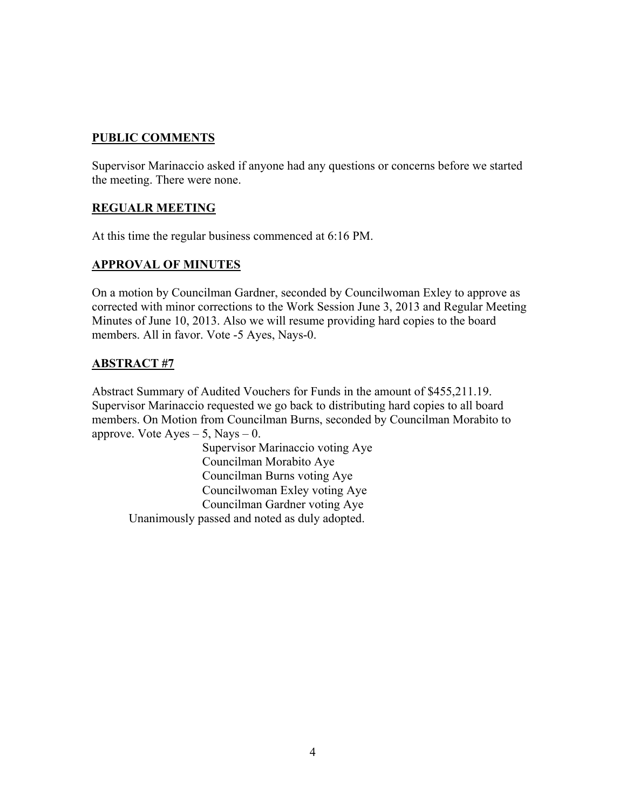## **PUBLIC COMMENTS**

Supervisor Marinaccio asked if anyone had any questions or concerns before we started the meeting. There were none.

# **REGUALR MEETING**

At this time the regular business commenced at 6:16 PM.

# **APPROVAL OF MINUTES**

On a motion by Councilman Gardner, seconded by Councilwoman Exley to approve as corrected with minor corrections to the Work Session June 3, 2013 and Regular Meeting Minutes of June 10, 2013. Also we will resume providing hard copies to the board members. All in favor. Vote -5 Ayes, Nays-0.

# **ABSTRACT #7**

Abstract Summary of Audited Vouchers for Funds in the amount of \$455,211.19. Supervisor Marinaccio requested we go back to distributing hard copies to all board members. On Motion from Councilman Burns, seconded by Councilman Morabito to approve. Vote  $Ayes - 5$ , Nays  $- 0$ .

 Supervisor Marinaccio voting Aye Councilman Morabito Aye Councilman Burns voting Aye Councilwoman Exley voting Aye Councilman Gardner voting Aye Unanimously passed and noted as duly adopted.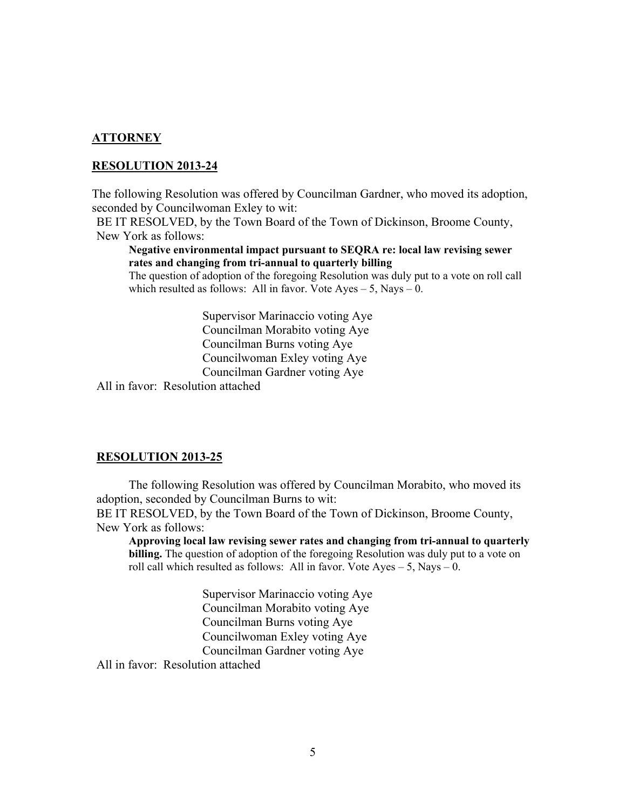#### **ATTORNEY**

#### **RESOLUTION 2013-24**

The following Resolution was offered by Councilman Gardner, who moved its adoption, seconded by Councilwoman Exley to wit:

BE IT RESOLVED, by the Town Board of the Town of Dickinson, Broome County, New York as follows:

**Negative environmental impact pursuant to SEQRA re: local law revising sewer rates and changing from tri-annual to quarterly billing** 

The question of adoption of the foregoing Resolution was duly put to a vote on roll call which resulted as follows: All in favor. Vote Ayes  $-5$ , Nays  $-0$ .

> Supervisor Marinaccio voting Aye Councilman Morabito voting Aye Councilman Burns voting Aye Councilwoman Exley voting Aye Councilman Gardner voting Aye

All in favor: Resolution attached

#### **RESOLUTION 2013-25**

 The following Resolution was offered by Councilman Morabito, who moved its adoption, seconded by Councilman Burns to wit:

BE IT RESOLVED, by the Town Board of the Town of Dickinson, Broome County, New York as follows:

**Approving local law revising sewer rates and changing from tri-annual to quarterly billing.** The question of adoption of the foregoing Resolution was duly put to a vote on roll call which resulted as follows: All in favor. Vote  $Ayes - 5$ , Nays  $-0$ .

> Supervisor Marinaccio voting Aye Councilman Morabito voting Aye Councilman Burns voting Aye Councilwoman Exley voting Aye Councilman Gardner voting Aye

All in favor: Resolution attached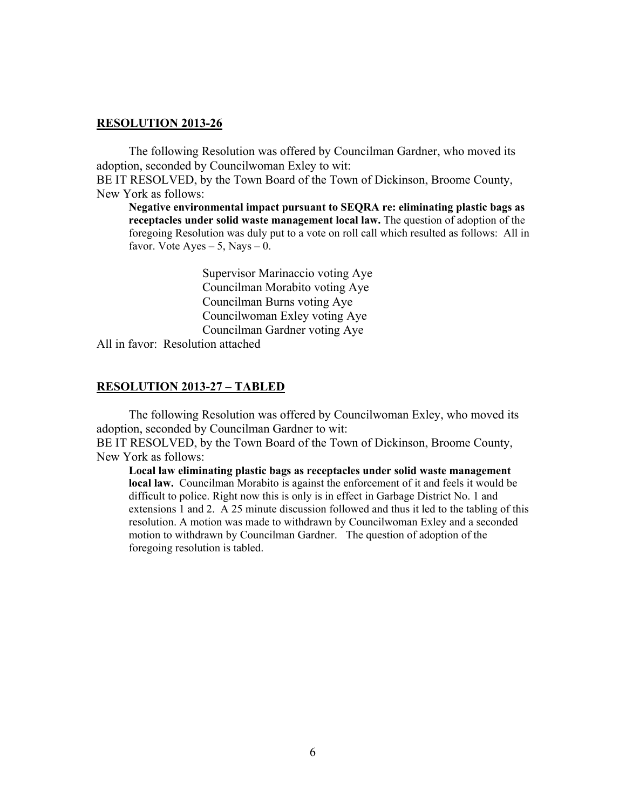#### **RESOLUTION 2013-26**

 The following Resolution was offered by Councilman Gardner, who moved its adoption, seconded by Councilwoman Exley to wit:

BE IT RESOLVED, by the Town Board of the Town of Dickinson, Broome County, New York as follows:

**Negative environmental impact pursuant to SEQRA re: eliminating plastic bags as receptacles under solid waste management local law.** The question of adoption of the foregoing Resolution was duly put to a vote on roll call which resulted as follows: All in favor. Vote Ayes  $-5$ , Nays  $-0$ .

> Supervisor Marinaccio voting Aye Councilman Morabito voting Aye Councilman Burns voting Aye Councilwoman Exley voting Aye Councilman Gardner voting Aye

All in favor: Resolution attached

#### **RESOLUTION 2013-27 – TABLED**

 The following Resolution was offered by Councilwoman Exley, who moved its adoption, seconded by Councilman Gardner to wit:

BE IT RESOLVED, by the Town Board of the Town of Dickinson, Broome County, New York as follows:

**Local law eliminating plastic bags as receptacles under solid waste management local law.** Councilman Morabito is against the enforcement of it and feels it would be difficult to police. Right now this is only is in effect in Garbage District No. 1 and extensions 1 and 2. A 25 minute discussion followed and thus it led to the tabling of this resolution. A motion was made to withdrawn by Councilwoman Exley and a seconded motion to withdrawn by Councilman Gardner. The question of adoption of the foregoing resolution is tabled.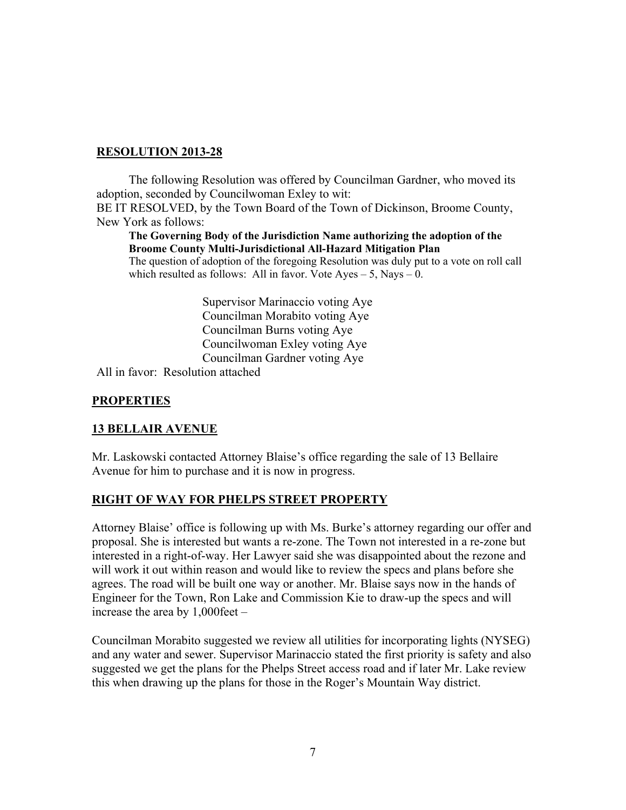### **RESOLUTION 2013-28**

 The following Resolution was offered by Councilman Gardner, who moved its adoption, seconded by Councilwoman Exley to wit: BE IT RESOLVED, by the Town Board of the Town of Dickinson, Broome County, New York as follows:

**The Governing Body of the Jurisdiction Name authorizing the adoption of the Broome County Multi-Jurisdictional All-Hazard Mitigation Plan** 

The question of adoption of the foregoing Resolution was duly put to a vote on roll call which resulted as follows: All in favor. Vote  $Ayes - 5$ , Nays  $- 0$ .

> Supervisor Marinaccio voting Aye Councilman Morabito voting Aye Councilman Burns voting Aye Councilwoman Exley voting Aye Councilman Gardner voting Aye

All in favor: Resolution attached

## **PROPERTIES**

## **13 BELLAIR AVENUE**

Mr. Laskowski contacted Attorney Blaise's office regarding the sale of 13 Bellaire Avenue for him to purchase and it is now in progress.

## **RIGHT OF WAY FOR PHELPS STREET PROPERTY**

Attorney Blaise' office is following up with Ms. Burke's attorney regarding our offer and proposal. She is interested but wants a re-zone. The Town not interested in a re-zone but interested in a right-of-way. Her Lawyer said she was disappointed about the rezone and will work it out within reason and would like to review the specs and plans before she agrees. The road will be built one way or another. Mr. Blaise says now in the hands of Engineer for the Town, Ron Lake and Commission Kie to draw-up the specs and will increase the area by 1,000feet –

Councilman Morabito suggested we review all utilities for incorporating lights (NYSEG) and any water and sewer. Supervisor Marinaccio stated the first priority is safety and also suggested we get the plans for the Phelps Street access road and if later Mr. Lake review this when drawing up the plans for those in the Roger's Mountain Way district.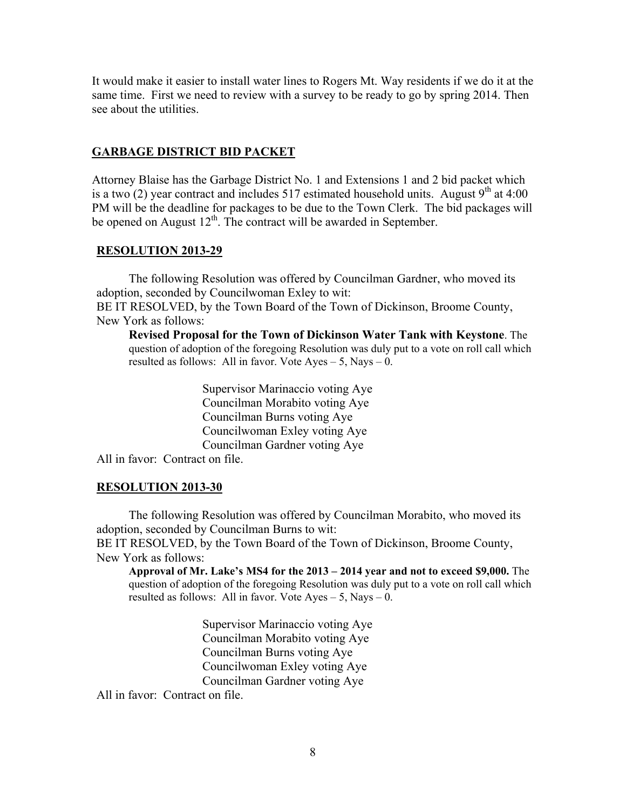It would make it easier to install water lines to Rogers Mt. Way residents if we do it at the same time. First we need to review with a survey to be ready to go by spring 2014. Then see about the utilities.

#### **GARBAGE DISTRICT BID PACKET**

Attorney Blaise has the Garbage District No. 1 and Extensions 1 and 2 bid packet which is a two (2) year contract and includes 517 estimated household units. August  $9<sup>th</sup>$  at 4:00 PM will be the deadline for packages to be due to the Town Clerk. The bid packages will be opened on August  $12^{th}$ . The contract will be awarded in September.

#### **RESOLUTION 2013-29**

 The following Resolution was offered by Councilman Gardner, who moved its adoption, seconded by Councilwoman Exley to wit: BE IT RESOLVED, by the Town Board of the Town of Dickinson, Broome County, New York as follows:

**Revised Proposal for the Town of Dickinson Water Tank with Keystone**. The question of adoption of the foregoing Resolution was duly put to a vote on roll call which resulted as follows: All in favor. Vote Ayes – 5, Nays – 0.

> Supervisor Marinaccio voting Aye Councilman Morabito voting Aye Councilman Burns voting Aye Councilwoman Exley voting Aye Councilman Gardner voting Aye

All in favor: Contract on file.

#### **RESOLUTION 2013-30**

 The following Resolution was offered by Councilman Morabito, who moved its adoption, seconded by Councilman Burns to wit:

BE IT RESOLVED, by the Town Board of the Town of Dickinson, Broome County, New York as follows:

**Approval of Mr. Lake's MS4 for the 2013 – 2014 year and not to exceed \$9,000.** The question of adoption of the foregoing Resolution was duly put to a vote on roll call which resulted as follows: All in favor. Vote  $Ayes - 5$ , Nays  $- 0$ .

> Supervisor Marinaccio voting Aye Councilman Morabito voting Aye Councilman Burns voting Aye Councilwoman Exley voting Aye Councilman Gardner voting Aye

All in favor: Contract on file.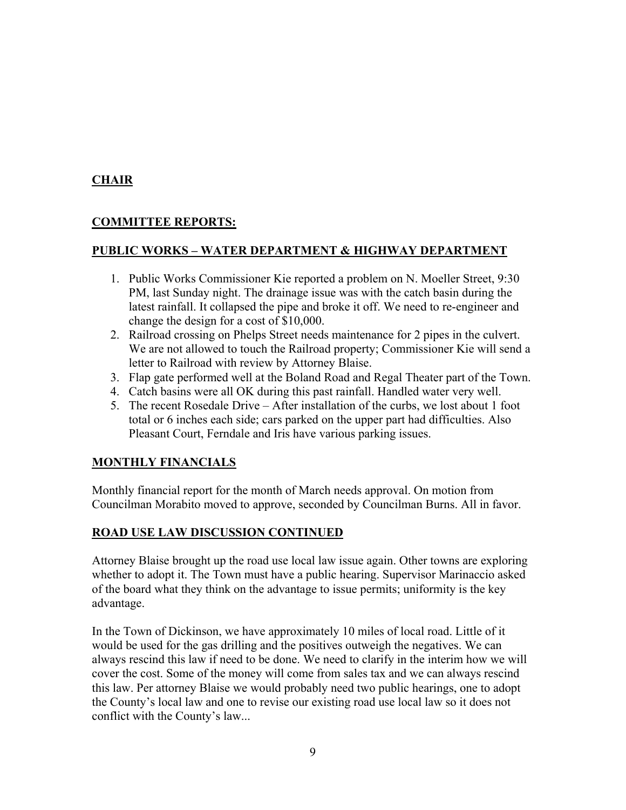# **CHAIR**

# **COMMITTEE REPORTS:**

### **PUBLIC WORKS – WATER DEPARTMENT & HIGHWAY DEPARTMENT**

- 1. Public Works Commissioner Kie reported a problem on N. Moeller Street, 9:30 PM, last Sunday night. The drainage issue was with the catch basin during the latest rainfall. It collapsed the pipe and broke it off. We need to re-engineer and change the design for a cost of \$10,000.
- 2. Railroad crossing on Phelps Street needs maintenance for 2 pipes in the culvert. We are not allowed to touch the Railroad property; Commissioner Kie will send a letter to Railroad with review by Attorney Blaise.
- 3. Flap gate performed well at the Boland Road and Regal Theater part of the Town.
- 4. Catch basins were all OK during this past rainfall. Handled water very well.
- 5. The recent Rosedale Drive After installation of the curbs, we lost about 1 foot total or 6 inches each side; cars parked on the upper part had difficulties. Also Pleasant Court, Ferndale and Iris have various parking issues.

## **MONTHLY FINANCIALS**

Monthly financial report for the month of March needs approval. On motion from Councilman Morabito moved to approve, seconded by Councilman Burns. All in favor.

## **ROAD USE LAW DISCUSSION CONTINUED**

Attorney Blaise brought up the road use local law issue again. Other towns are exploring whether to adopt it. The Town must have a public hearing. Supervisor Marinaccio asked of the board what they think on the advantage to issue permits; uniformity is the key advantage.

In the Town of Dickinson, we have approximately 10 miles of local road. Little of it would be used for the gas drilling and the positives outweigh the negatives. We can always rescind this law if need to be done. We need to clarify in the interim how we will cover the cost. Some of the money will come from sales tax and we can always rescind this law. Per attorney Blaise we would probably need two public hearings, one to adopt the County's local law and one to revise our existing road use local law so it does not conflict with the County's law...